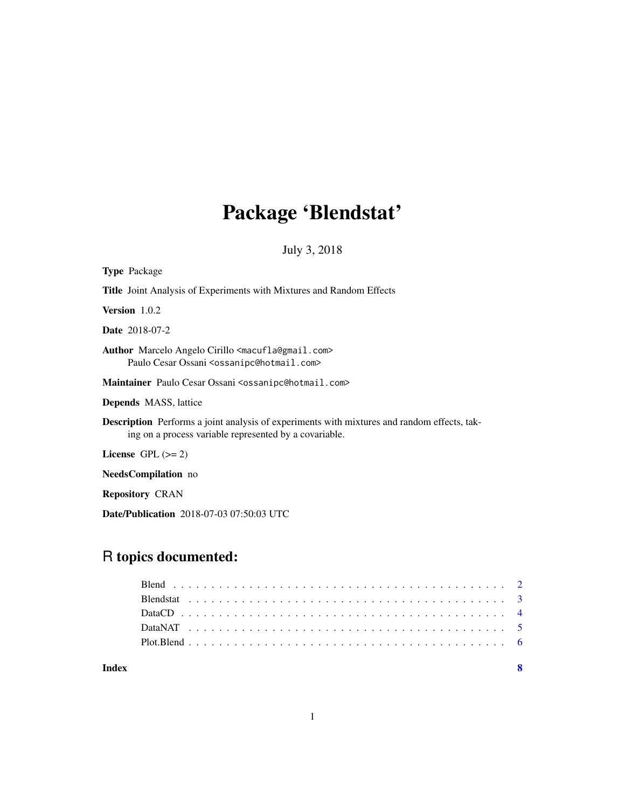# Package 'Blendstat'

July 3, 2018

| <b>Type Package</b>                                                                                                                                          |
|--------------------------------------------------------------------------------------------------------------------------------------------------------------|
| <b>Title</b> Joint Analysis of Experiments with Mixtures and Random Effects                                                                                  |
| <b>Version</b> $1.0.2$                                                                                                                                       |
| <b>Date</b> 2018-07-2                                                                                                                                        |
| Author Marcelo Angelo Cirillo <macufla@gmail.com><br/>Paulo Cesar Ossani <ossanipc@hotmail.com></ossanipc@hotmail.com></macufla@gmail.com>                   |
| Maintainer Paulo Cesar Ossani <ossanipc@hotmail.com></ossanipc@hotmail.com>                                                                                  |
| <b>Depends</b> MASS, lattice                                                                                                                                 |
| <b>Description</b> Performs a joint analysis of experiments with mixtures and random effects, tak-<br>ing on a process variable represented by a covariable. |
| License $GPL (= 2)$                                                                                                                                          |
| <b>NeedsCompilation</b> no                                                                                                                                   |
| <b>Repository CRAN</b>                                                                                                                                       |

Date/Publication 2018-07-03 07:50:03 UTC

# R topics documented:

**Index** [8](#page-7-0) **8**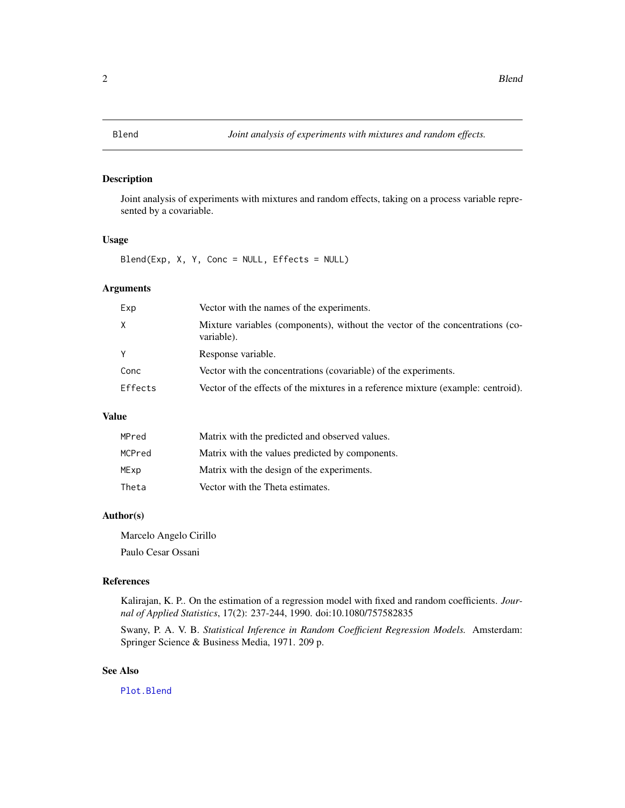<span id="page-1-1"></span><span id="page-1-0"></span>

# Description

Joint analysis of experiments with mixtures and random effects, taking on a process variable represented by a covariable.

# Usage

Blend(Exp, X, Y, Conc = NULL, Effects = NULL)

# Arguments

| X<br>variable).<br>Y<br>Response variable.<br>Vector with the concentrations (covariable) of the experiments.<br>Conc<br>Effects | Exp | Vector with the names of the experiments.                                         |
|----------------------------------------------------------------------------------------------------------------------------------|-----|-----------------------------------------------------------------------------------|
|                                                                                                                                  |     | Mixture variables (components), without the vector of the concentrations (co-     |
|                                                                                                                                  |     |                                                                                   |
|                                                                                                                                  |     |                                                                                   |
|                                                                                                                                  |     | Vector of the effects of the mixtures in a reference mixture (example: centroid). |

# Value

| MPred  | Matrix with the predicted and observed values.  |
|--------|-------------------------------------------------|
| MCPred | Matrix with the values predicted by components. |
| MExp   | Matrix with the design of the experiments.      |
| Theta  | Vector with the Theta estimates.                |

# Author(s)

Marcelo Angelo Cirillo

Paulo Cesar Ossani

#### References

Kalirajan, K. P.. On the estimation of a regression model with fixed and random coefficients. *Journal of Applied Statistics*, 17(2): 237-244, 1990. doi:10.1080/757582835

Swany, P. A. V. B. *Statistical Inference in Random Coefficient Regression Models.* Amsterdam: Springer Science & Business Media, 1971. 209 p.

# See Also

[Plot.Blend](#page-5-1)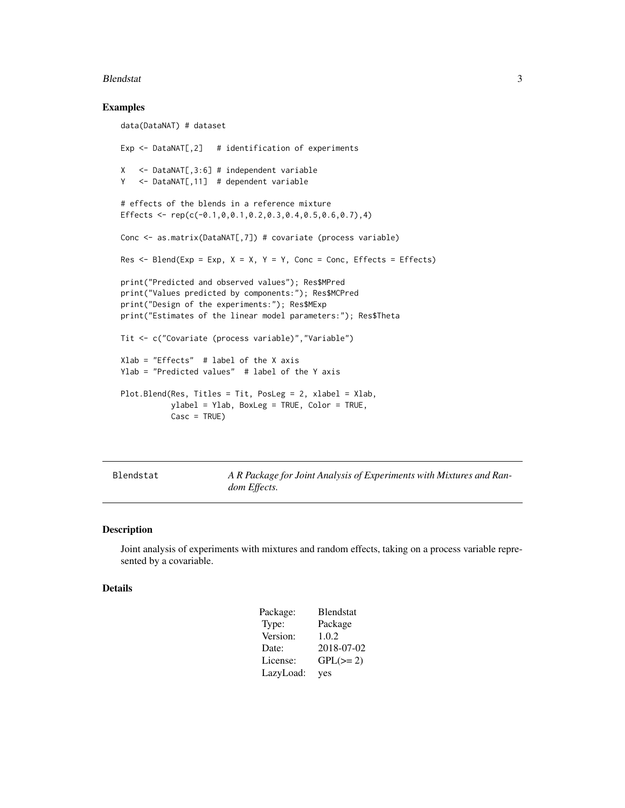#### <span id="page-2-0"></span>Blendstat 3

### Examples

```
data(DataNAT) # dataset
Exp \leq DataNAT[,2] # identification of experiments
X <- DataNAT[,3:6] # independent variable
Y <- DataNAT[,11] # dependent variable
# effects of the blends in a reference mixture
Effects \leq rep(c(-0.1,0,0.1,0.2,0.3,0.4,0.5,0.6,0.7),4)
Conc <- as.matrix(DataNAT[,7]) # covariate (process variable)
Res \leq Blend(Exp = Exp, X = X, Y = Y, Conc = Conc, Effects = Effects)
print("Predicted and observed values"); Res$MPred
print("Values predicted by components:"); Res$MCPred
print("Design of the experiments:"); Res$MExp
print("Estimates of the linear model parameters:"); Res$Theta
Tit <- c("Covariate (process variable)","Variable")
Xlab = "Effects" # label of the X axis
Ylab = "Predicted values" # label of the Y axis
Plot.Blend(Res, Titles = Tit, PosLeg = 2, xlabel = Xlab,
          ylabel = Ylab, BoxLeg = TRUE, Color = TRUE,
          Casc = TRUE)
```
Blendstat *A R Package for Joint Analysis of Experiments with Mixtures and Random Effects.*

#### Description

Joint analysis of experiments with mixtures and random effects, taking on a process variable represented by a covariable.

### Details

| Package:  | <b>Blendstat</b> |
|-----------|------------------|
| Type:     | Package          |
| Version:  | 1.0.2            |
| Date:     | 2018-07-02       |
| License:  | $GPL(>= 2)$      |
| LazyLoad: | yes              |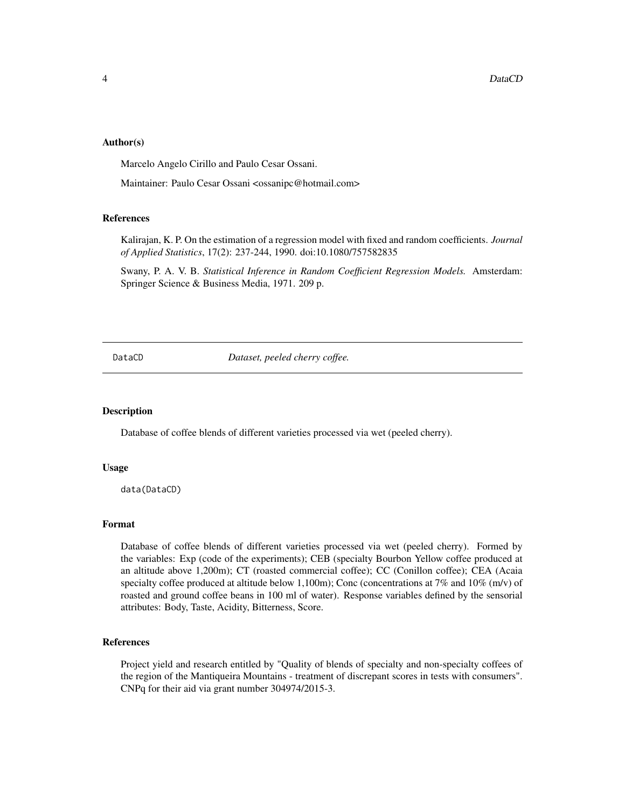#### <span id="page-3-0"></span>Author(s)

Marcelo Angelo Cirillo and Paulo Cesar Ossani.

Maintainer: Paulo Cesar Ossani <ossanipc@hotmail.com>

#### References

Kalirajan, K. P. On the estimation of a regression model with fixed and random coefficients. *Journal of Applied Statistics*, 17(2): 237-244, 1990. doi:10.1080/757582835

Swany, P. A. V. B. *Statistical Inference in Random Coefficient Regression Models.* Amsterdam: Springer Science & Business Media, 1971. 209 p.

DataCD *Dataset, peeled cherry coffee.*

#### Description

Database of coffee blends of different varieties processed via wet (peeled cherry).

#### Usage

data(DataCD)

#### Format

Database of coffee blends of different varieties processed via wet (peeled cherry). Formed by the variables: Exp (code of the experiments); CEB (specialty Bourbon Yellow coffee produced at an altitude above 1,200m); CT (roasted commercial coffee); CC (Conillon coffee); CEA (Acaia specialty coffee produced at altitude below 1,100m); Conc (concentrations at  $7\%$  and  $10\%$  (m/v) of roasted and ground coffee beans in 100 ml of water). Response variables defined by the sensorial attributes: Body, Taste, Acidity, Bitterness, Score.

#### References

Project yield and research entitled by "Quality of blends of specialty and non-specialty coffees of the region of the Mantiqueira Mountains - treatment of discrepant scores in tests with consumers". CNPq for their aid via grant number 304974/2015-3.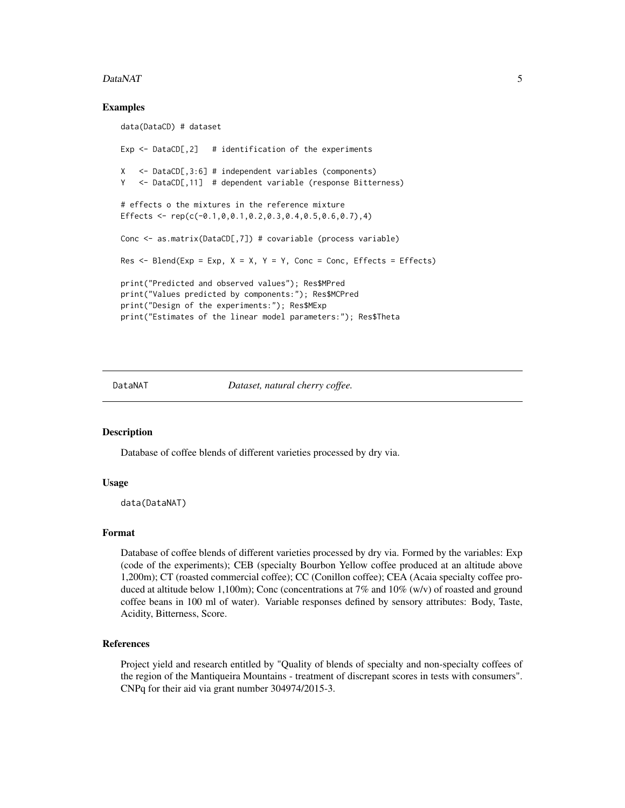#### <span id="page-4-0"></span>DataNAT 5

### Examples

```
data(DataCD) # dataset
Exp \leq DataCD[,2] # identification of the experiments
X <- DataCD[,3:6] # independent variables (components)
Y <- DataCD[,11] # dependent variable (response Bitterness)
# effects o the mixtures in the reference mixture
Effects <- rep(c(-0.1, 0.0.1, 0.2, 0.3, 0.4, 0.5, 0.6, 0.7), 4)Conc <- as.matrix(DataCD[,7]) # covariable (process variable)
Res \le Blend(Exp = Exp, X = X, Y = Y, Conc = Conc, Effects = Effects)
print("Predicted and observed values"); Res$MPred
print("Values predicted by components:"); Res$MCPred
print("Design of the experiments:"); Res$MExp
print("Estimates of the linear model parameters:"); Res$Theta
```
DataNAT *Dataset, natural cherry coffee.*

#### Description

Database of coffee blends of different varieties processed by dry via.

#### Usage

data(DataNAT)

#### Format

Database of coffee blends of different varieties processed by dry via. Formed by the variables: Exp (code of the experiments); CEB (specialty Bourbon Yellow coffee produced at an altitude above 1,200m); CT (roasted commercial coffee); CC (Conillon coffee); CEA (Acaia specialty coffee produced at altitude below 1,100m); Conc (concentrations at 7% and 10% (w/v) of roasted and ground coffee beans in 100 ml of water). Variable responses defined by sensory attributes: Body, Taste, Acidity, Bitterness, Score.

#### References

Project yield and research entitled by "Quality of blends of specialty and non-specialty coffees of the region of the Mantiqueira Mountains - treatment of discrepant scores in tests with consumers". CNPq for their aid via grant number 304974/2015-3.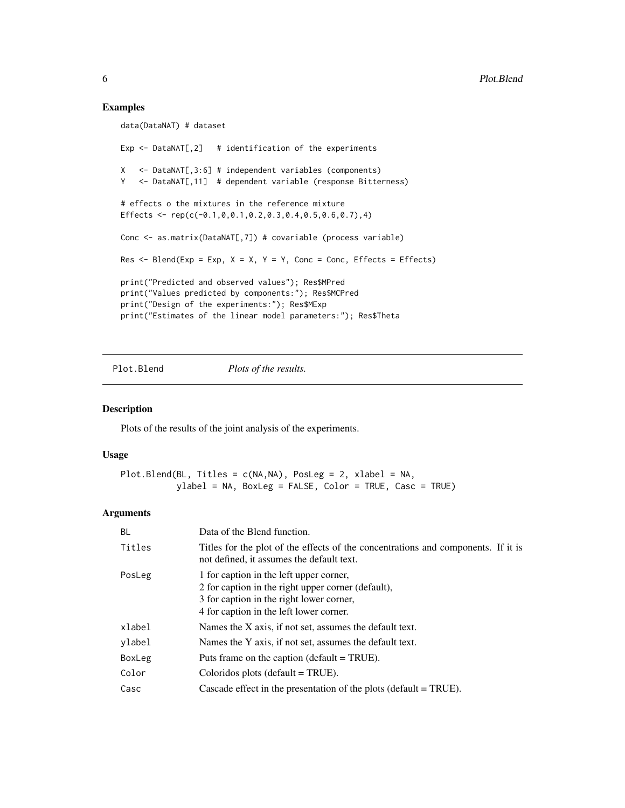### Examples

```
data(DataNAT) # dataset
Exp \leq DataNAT[,2] # identification of the experiments
X <- DataNAT[,3:6] # independent variables (components)
Y <- DataNAT[,11] # dependent variable (response Bitterness)
# effects o the mixtures in the reference mixture
Effects \leq rep(c(-0.1,0,0.1,0.2,0.3,0.4,0.5,0.6,0.7),4)
Conc <- as.matrix(DataNAT[,7]) # covariable (process variable)
Res \leq Blend(Exp = Exp, X = X, Y = Y, Conc = Conc, Effects = Effects)
print("Predicted and observed values"); Res$MPred
print("Values predicted by components:"); Res$MCPred
print("Design of the experiments:"); Res$MExp
print("Estimates of the linear model parameters:"); Res$Theta
```
<span id="page-5-1"></span>Plot.Blend *Plots of the results.*

#### Description

Plots of the results of the joint analysis of the experiments.

# Usage

Plot.Blend(BL, Titles = c(NA,NA), PosLeg = 2, xlabel = NA, ylabel = NA, BoxLeg = FALSE, Color = TRUE, Casc = TRUE)

#### Arguments

| BL     | Data of the Blend function.                                                                                                                                                          |
|--------|--------------------------------------------------------------------------------------------------------------------------------------------------------------------------------------|
| Titles | Titles for the plot of the effects of the concentrations and components. If it is<br>not defined, it assumes the default text.                                                       |
| PosLeg | 1 for caption in the left upper corner,<br>2 for caption in the right upper corner (default),<br>3 for caption in the right lower corner,<br>4 for caption in the left lower corner. |
| xlabel | Names the X axis, if not set, assumes the default text.                                                                                                                              |
| ylabel | Names the Y axis, if not set, assumes the default text.                                                                                                                              |
| BoxLeg | Puts frame on the caption (default $= TRUE$ ).                                                                                                                                       |
| Color  | Coloridos plots (default $=$ TRUE).                                                                                                                                                  |
| Casc   | Cascade effect in the presentation of the plots (default $= TRUE$ ).                                                                                                                 |

<span id="page-5-0"></span>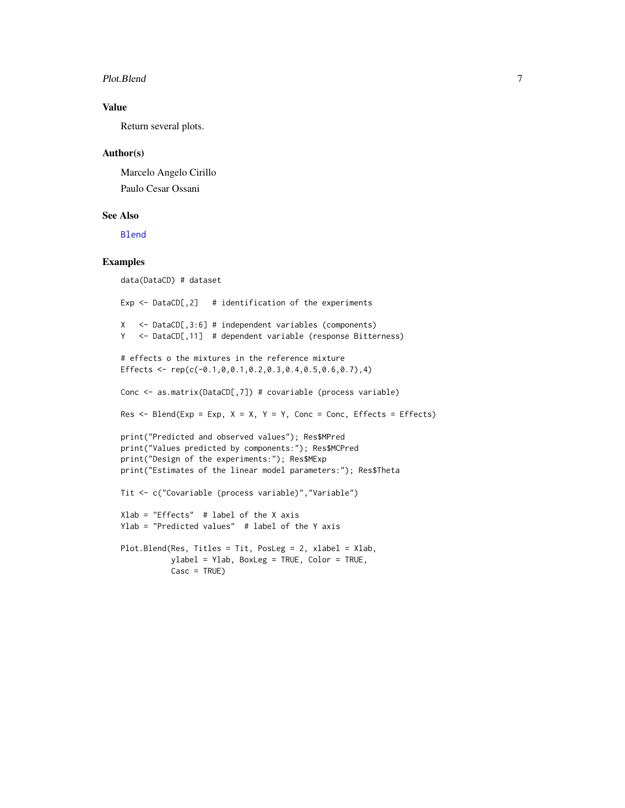#### <span id="page-6-0"></span>Plot.Blend 7

# Value

Return several plots.

#### Author(s)

Marcelo Angelo Cirillo Paulo Cesar Ossani

#### See Also

[Blend](#page-1-1)

# Examples

```
data(DataCD) # dataset
Exp \leq DataCD[,2] # identification of the experiments
X <- DataCD[,3:6] # independent variables (components)
Y <- DataCD[,11] # dependent variable (response Bitterness)
# effects o the mixtures in the reference mixture
Effects <- rep(c(-0.1,0,0.1,0.2,0.3,0.4,0.5,0.6,0.7),4)
Conc <- as.matrix(DataCD[,7]) # covariable (process variable)
Res \leq Blend(Exp = Exp, X = X, Y = Y, Conc = Conc, Effects = Effects)
print("Predicted and observed values"); Res$MPred
print("Values predicted by components:"); Res$MCPred
print("Design of the experiments:"); Res$MExp
print("Estimates of the linear model parameters:"); Res$Theta
Tit <- c("Covariable (process variable)","Variable")
Xlab = "Effects" # label of the X axis
Ylab = "Predicted values" # label of the Y axis
Plot.Blend(Res, Titles = Tit, PosLeg = 2, xlabel = Xlab,
           ylabel = Ylab, BoxLeg = TRUE, Color = TRUE,
           Casc = TRUE)
```